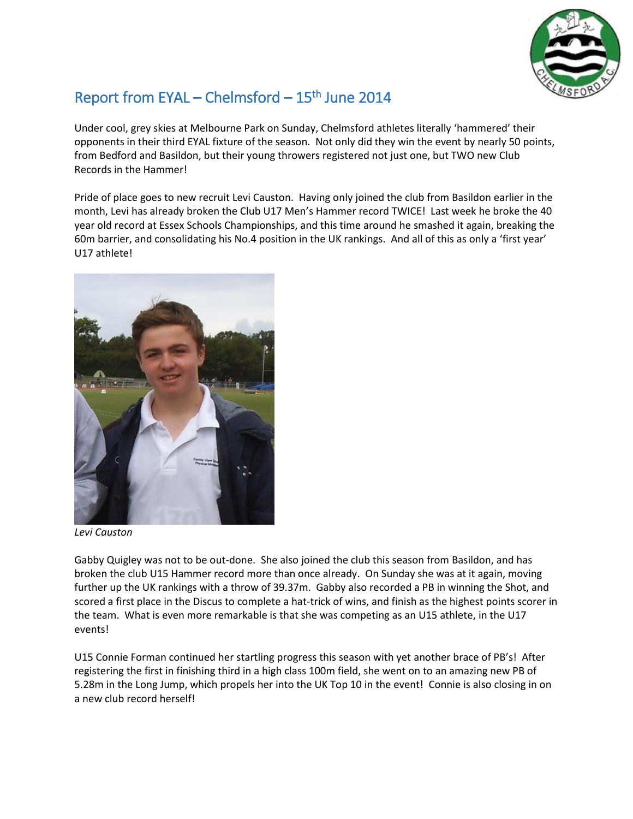

## Report from EYAL – Chelmsford – 15<sup>th</sup> June 2014

Under cool, grey skies at Melbourne Park on Sunday, Chelmsford athletes literally 'hammered' their opponents in their third EYAL fixture of the season. Not only did they win the event by nearly 50 points, from Bedford and Basildon, but their young throwers registered not just one, but TWO new Club Records in the Hammer!

Pride of place goes to new recruit Levi Causton. Having only joined the club from Basildon earlier in the month, Levi has already broken the Club U17 Men's Hammer record TWICE! Last week he broke the 40 year old record at Essex Schools Championships, and this time around he smashed it again, breaking the 60m barrier, and consolidating his No.4 position in the UK rankings. And all of this as only a 'first year' U17 athlete!



*Levi Causton*

Gabby Quigley was not to be out-done. She also joined the club this season from Basildon, and has broken the club U15 Hammer record more than once already. On Sunday she was at it again, moving further up the UK rankings with a throw of 39.37m. Gabby also recorded a PB in winning the Shot, and scored a first place in the Discus to complete a hat-trick of wins, and finish as the highest points scorer in the team. What is even more remarkable is that she was competing as an U15 athlete, in the U17 events!

U15 Connie Forman continued her startling progress this season with yet another brace of PB's! After registering the first in finishing third in a high class 100m field, she went on to an amazing new PB of 5.28m in the Long Jump, which propels her into the UK Top 10 in the event! Connie is also closing in on a new club record herself!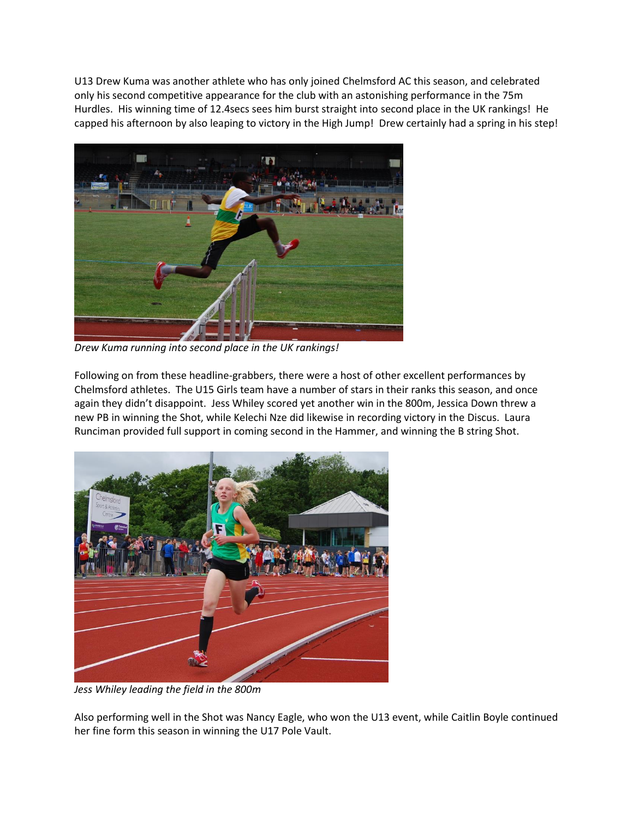U13 Drew Kuma was another athlete who has only joined Chelmsford AC this season, and celebrated only his second competitive appearance for the club with an astonishing performance in the 75m Hurdles. His winning time of 12.4secs sees him burst straight into second place in the UK rankings! He capped his afternoon by also leaping to victory in the High Jump! Drew certainly had a spring in his step!



*Drew Kuma running into second place in the UK rankings!*

Following on from these headline-grabbers, there were a host of other excellent performances by Chelmsford athletes. The U15 Girls team have a number of stars in their ranks this season, and once again they didn't disappoint. Jess Whiley scored yet another win in the 800m, Jessica Down threw a new PB in winning the Shot, while Kelechi Nze did likewise in recording victory in the Discus. Laura Runciman provided full support in coming second in the Hammer, and winning the B string Shot.



*Jess Whiley leading the field in the 800m*

Also performing well in the Shot was Nancy Eagle, who won the U13 event, while Caitlin Boyle continued her fine form this season in winning the U17 Pole Vault.